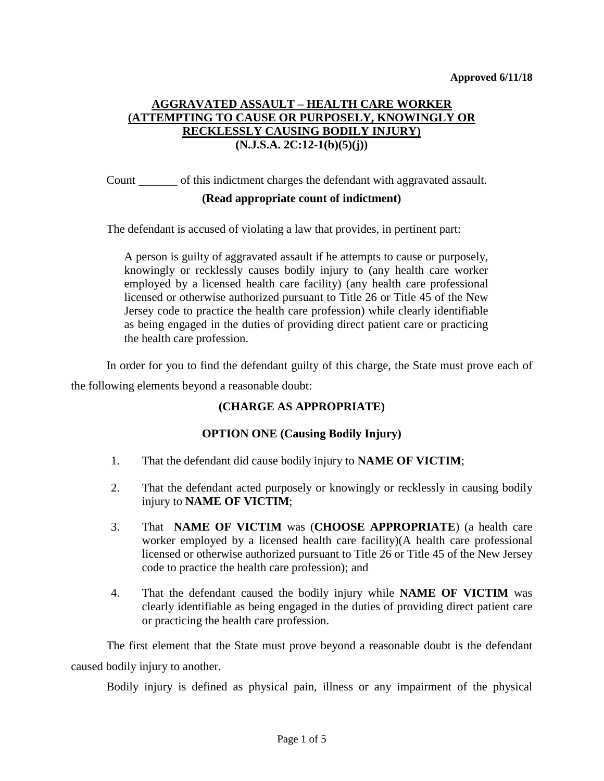# **AGGRAVATED ASSAULT – HEALTH CARE WORKER (ATTEMPTING TO CAUSE OR PURPOSELY, KNOWINGLY OR RECKLESSLY CAUSING BODILY INJURY) (N.J.S.A. 2C:12-1(b)(5)(j))**

Count of this indictment charges the defendant with aggravated assault.

## **(Read appropriate count of indictment)**

The defendant is accused of violating a law that provides, in pertinent part:

A person is guilty of aggravated assault if he attempts to cause or purposely, knowingly or recklessly causes bodily injury to (any health care worker employed by a licensed health care facility) (any health care professional licensed or otherwise authorized pursuant to Title 26 or Title 45 of the New Jersey code to practice the health care profession) while clearly identifiable as being engaged in the duties of providing direct patient care or practicing the health care profession.

In order for you to find the defendant guilty of this charge, the State must prove each of the following elements beyond a reasonable doubt:

## **(CHARGE AS APPROPRIATE)**

## **OPTION ONE (Causing Bodily Injury)**

- 1. That the defendant did cause bodily injury to **NAME OF VICTIM**;
- 2. That the defendant acted purposely or knowingly or recklessly in causing bodily injury to **NAME OF VICTIM**;
- 3. That **NAME OF VICTIM** was (**CHOOSE APPROPRIATE**) (a health care worker employed by a licensed health care facility)(A health care professional licensed or otherwise authorized pursuant to Title 26 or Title 45 of the New Jersey code to practice the health care profession); and
- 4. That the defendant caused the bodily injury while **NAME OF VICTIM** was clearly identifiable as being engaged in the duties of providing direct patient care or practicing the health care profession.

The first element that the State must prove beyond a reasonable doubt is the defendant caused bodily injury to another.

Bodily injury is defined as physical pain, illness or any impairment of the physical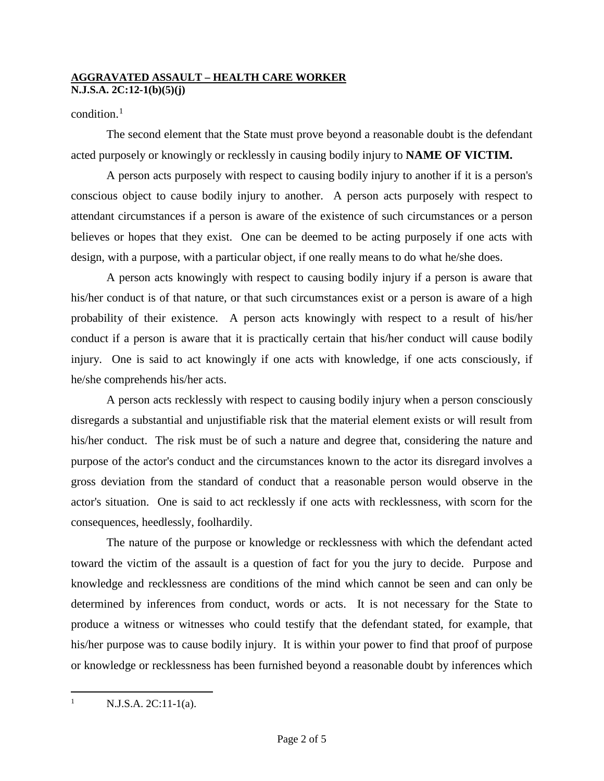## condition.<sup>[1](#page-1-0)</sup>

The second element that the State must prove beyond a reasonable doubt is the defendant acted purposely or knowingly or recklessly in causing bodily injury to **NAME OF VICTIM.**

A person acts purposely with respect to causing bodily injury to another if it is a person's conscious object to cause bodily injury to another. A person acts purposely with respect to attendant circumstances if a person is aware of the existence of such circumstances or a person believes or hopes that they exist. One can be deemed to be acting purposely if one acts with design, with a purpose, with a particular object, if one really means to do what he/she does.

A person acts knowingly with respect to causing bodily injury if a person is aware that his/her conduct is of that nature, or that such circumstances exist or a person is aware of a high probability of their existence. A person acts knowingly with respect to a result of his/her conduct if a person is aware that it is practically certain that his/her conduct will cause bodily injury. One is said to act knowingly if one acts with knowledge, if one acts consciously, if he/she comprehends his/her acts.

A person acts recklessly with respect to causing bodily injury when a person consciously disregards a substantial and unjustifiable risk that the material element exists or will result from his/her conduct. The risk must be of such a nature and degree that, considering the nature and purpose of the actor's conduct and the circumstances known to the actor its disregard involves a gross deviation from the standard of conduct that a reasonable person would observe in the actor's situation. One is said to act recklessly if one acts with recklessness, with scorn for the consequences, heedlessly, foolhardily.

The nature of the purpose or knowledge or recklessness with which the defendant acted toward the victim of the assault is a question of fact for you the jury to decide. Purpose and knowledge and recklessness are conditions of the mind which cannot be seen and can only be determined by inferences from conduct, words or acts. It is not necessary for the State to produce a witness or witnesses who could testify that the defendant stated, for example, that his/her purpose was to cause bodily injury. It is within your power to find that proof of purpose or knowledge or recklessness has been furnished beyond a reasonable doubt by inferences which

<span id="page-1-0"></span> $N.J.S.A. 2C:11-1(a)$ .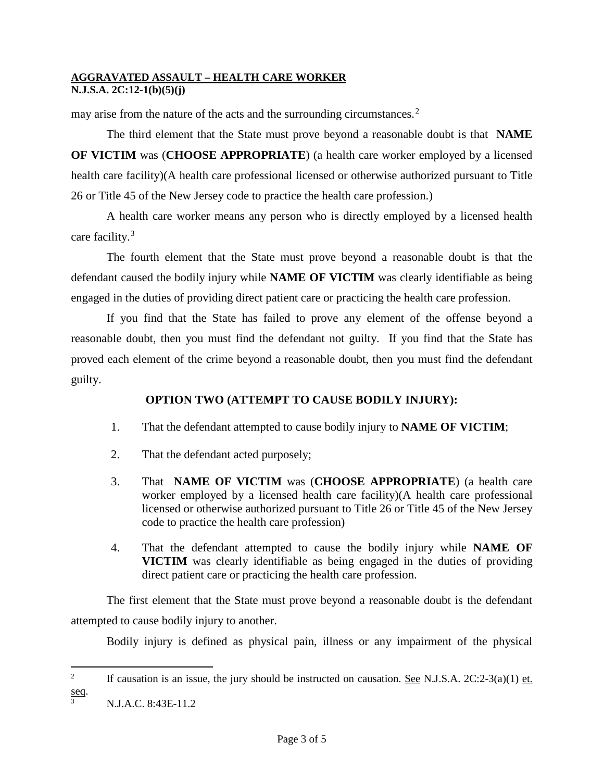may arise from the nature of the acts and the surrounding circumstances.[2](#page-2-0)

The third element that the State must prove beyond a reasonable doubt is that **NAME OF VICTIM** was (**CHOOSE APPROPRIATE**) (a health care worker employed by a licensed health care facility)(A health care professional licensed or otherwise authorized pursuant to Title 26 or Title 45 of the New Jersey code to practice the health care profession.)

A health care worker means any person who is directly employed by a licensed health care facility.[3](#page-2-1)

The fourth element that the State must prove beyond a reasonable doubt is that the defendant caused the bodily injury while **NAME OF VICTIM** was clearly identifiable as being engaged in the duties of providing direct patient care or practicing the health care profession.

If you find that the State has failed to prove any element of the offense beyond a reasonable doubt, then you must find the defendant not guilty. If you find that the State has proved each element of the crime beyond a reasonable doubt, then you must find the defendant guilty.

## **OPTION TWO (ATTEMPT TO CAUSE BODILY INJURY):**

- 1. That the defendant attempted to cause bodily injury to **NAME OF VICTIM**;
- 2. That the defendant acted purposely;
- 3. That **NAME OF VICTIM** was (**CHOOSE APPROPRIATE**) (a health care worker employed by a licensed health care facility)(A health care professional licensed or otherwise authorized pursuant to Title 26 or Title 45 of the New Jersey code to practice the health care profession)
- 4. That the defendant attempted to cause the bodily injury while **NAME OF VICTIM** was clearly identifiable as being engaged in the duties of providing direct patient care or practicing the health care profession.

The first element that the State must prove beyond a reasonable doubt is the defendant attempted to cause bodily injury to another.

Bodily injury is defined as physical pain, illness or any impairment of the physical

<span id="page-2-0"></span> $\frac{1}{2}$ <sup>2</sup> If causation is an issue, the jury should be instructed on causation. See N.J.S.A.  $2C:2-3(a)(1)$  et.  $\frac{\text{seq}}{3}$ .

<span id="page-2-1"></span>N.J.A.C. 8:43E-11.2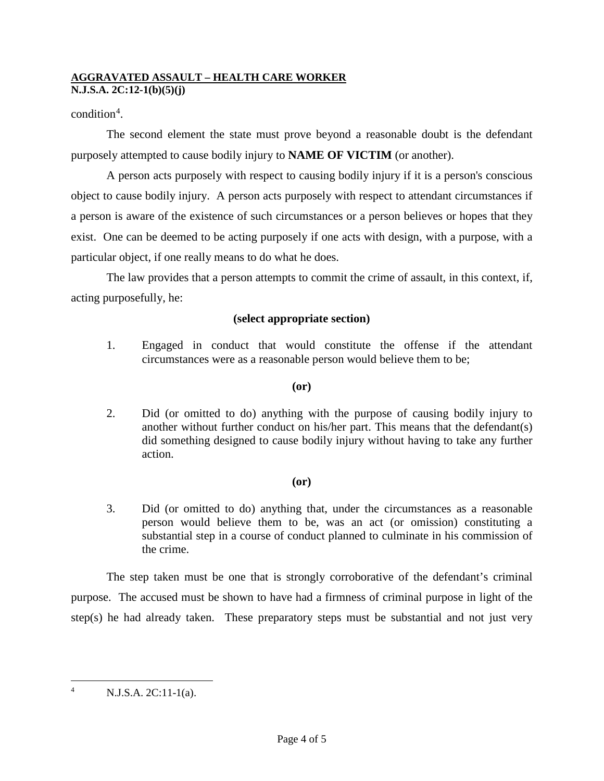## condition<sup>[4](#page-3-0)</sup>.

The second element the state must prove beyond a reasonable doubt is the defendant purposely attempted to cause bodily injury to **NAME OF VICTIM** (or another).

A person acts purposely with respect to causing bodily injury if it is a person's conscious object to cause bodily injury. A person acts purposely with respect to attendant circumstances if a person is aware of the existence of such circumstances or a person believes or hopes that they exist. One can be deemed to be acting purposely if one acts with design, with a purpose, with a particular object, if one really means to do what he does.

The law provides that a person attempts to commit the crime of assault, in this context, if, acting purposefully, he:

## **(select appropriate section)**

1. Engaged in conduct that would constitute the offense if the attendant circumstances were as a reasonable person would believe them to be;

## **(or)**

2. Did (or omitted to do) anything with the purpose of causing bodily injury to another without further conduct on his/her part. This means that the defendant(s) did something designed to cause bodily injury without having to take any further action.

## **(or)**

3. Did (or omitted to do) anything that, under the circumstances as a reasonable person would believe them to be, was an act (or omission) constituting a substantial step in a course of conduct planned to culminate in his commission of the crime.

The step taken must be one that is strongly corroborative of the defendant's criminal purpose. The accused must be shown to have had a firmness of criminal purpose in light of the step(s) he had already taken. These preparatory steps must be substantial and not just very

<span id="page-3-0"></span> $^{4}$  N.J.S.A. 2C:11-1(a).